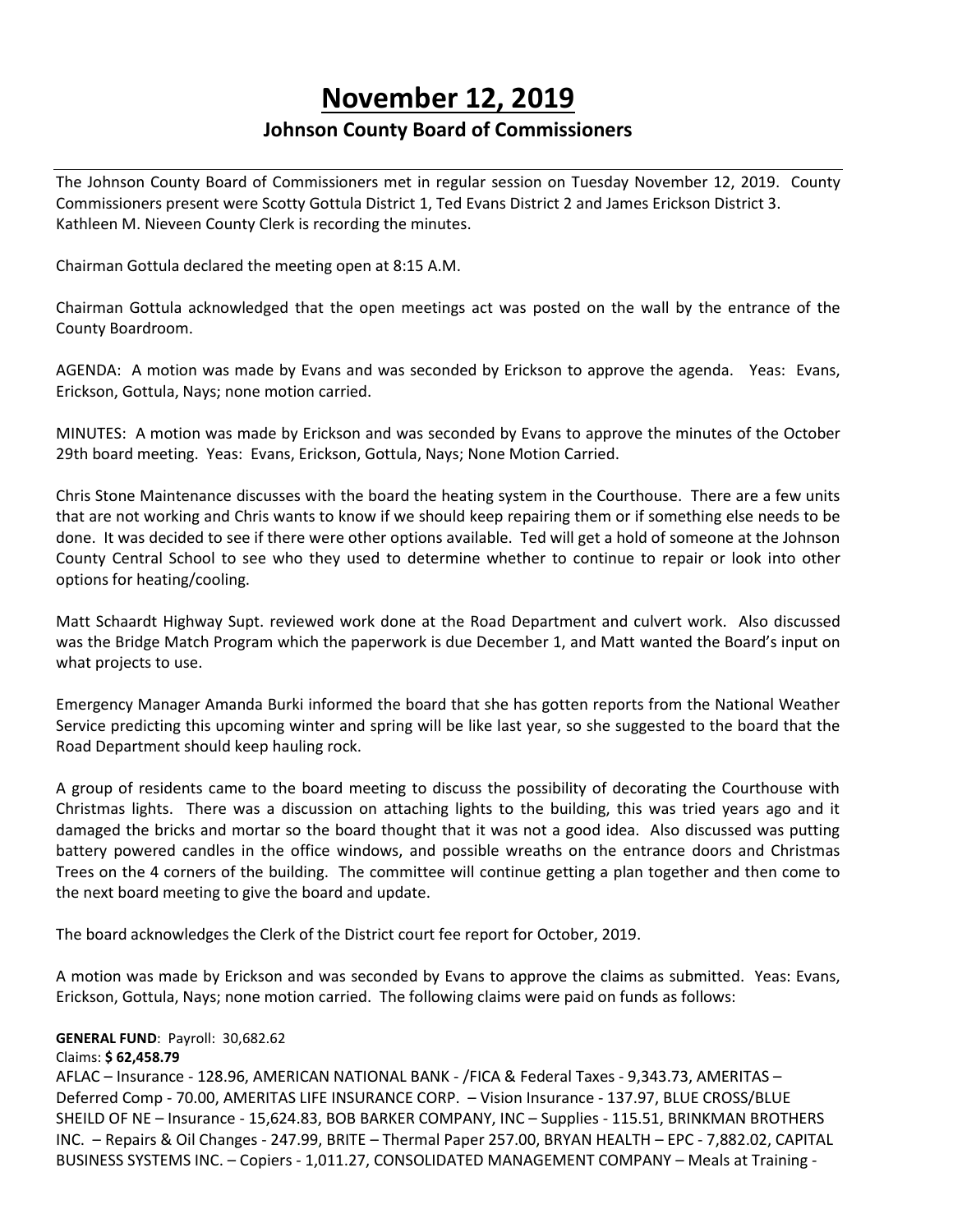# **November 12, 2019**

## **Johnson County Board of Commissioners**

The Johnson County Board of Commissioners met in regular session on Tuesday November 12, 2019. County Commissioners present were Scotty Gottula District 1, Ted Evans District 2 and James Erickson District 3. Kathleen M. Nieveen County Clerk is recording the minutes.

Chairman Gottula declared the meeting open at 8:15 A.M.

Chairman Gottula acknowledged that the open meetings act was posted on the wall by the entrance of the County Boardroom.

AGENDA: A motion was made by Evans and was seconded by Erickson to approve the agenda. Yeas: Evans, Erickson, Gottula, Nays; none motion carried.

MINUTES: A motion was made by Erickson and was seconded by Evans to approve the minutes of the October 29th board meeting. Yeas: Evans, Erickson, Gottula, Nays; None Motion Carried.

Chris Stone Maintenance discusses with the board the heating system in the Courthouse. There are a few units that are not working and Chris wants to know if we should keep repairing them or if something else needs to be done. It was decided to see if there were other options available. Ted will get a hold of someone at the Johnson County Central School to see who they used to determine whether to continue to repair or look into other options for heating/cooling.

Matt Schaardt Highway Supt. reviewed work done at the Road Department and culvert work. Also discussed was the Bridge Match Program which the paperwork is due December 1, and Matt wanted the Board's input on what projects to use.

Emergency Manager Amanda Burki informed the board that she has gotten reports from the National Weather Service predicting this upcoming winter and spring will be like last year, so she suggested to the board that the Road Department should keep hauling rock.

A group of residents came to the board meeting to discuss the possibility of decorating the Courthouse with Christmas lights. There was a discussion on attaching lights to the building, this was tried years ago and it damaged the bricks and mortar so the board thought that it was not a good idea. Also discussed was putting battery powered candles in the office windows, and possible wreaths on the entrance doors and Christmas Trees on the 4 corners of the building. The committee will continue getting a plan together and then come to the next board meeting to give the board and update.

The board acknowledges the Clerk of the District court fee report for October, 2019.

A motion was made by Erickson and was seconded by Evans to approve the claims as submitted. Yeas: Evans, Erickson, Gottula, Nays; none motion carried. The following claims were paid on funds as follows:

## **GENERAL FUND**: Payroll: 30,682.62

#### Claims: **\$ 62,458.79**

AFLAC – Insurance - 128.96, AMERICAN NATIONAL BANK - /FICA & Federal Taxes - 9,343.73, AMERITAS – Deferred Comp - 70.00, AMERITAS LIFE INSURANCE CORP. – Vision Insurance - 137.97, BLUE CROSS/BLUE SHEILD OF NE – Insurance - 15,624.83, BOB BARKER COMPANY, INC – Supplies - 115.51, BRINKMAN BROTHERS INC. – Repairs & Oil Changes - 247.99, BRITE – Thermal Paper 257.00, BRYAN HEALTH – EPC - 7,882.02, CAPITAL BUSINESS SYSTEMS INC. – Copiers - 1,011.27, CONSOLIDATED MANAGEMENT COMPANY – Meals at Training -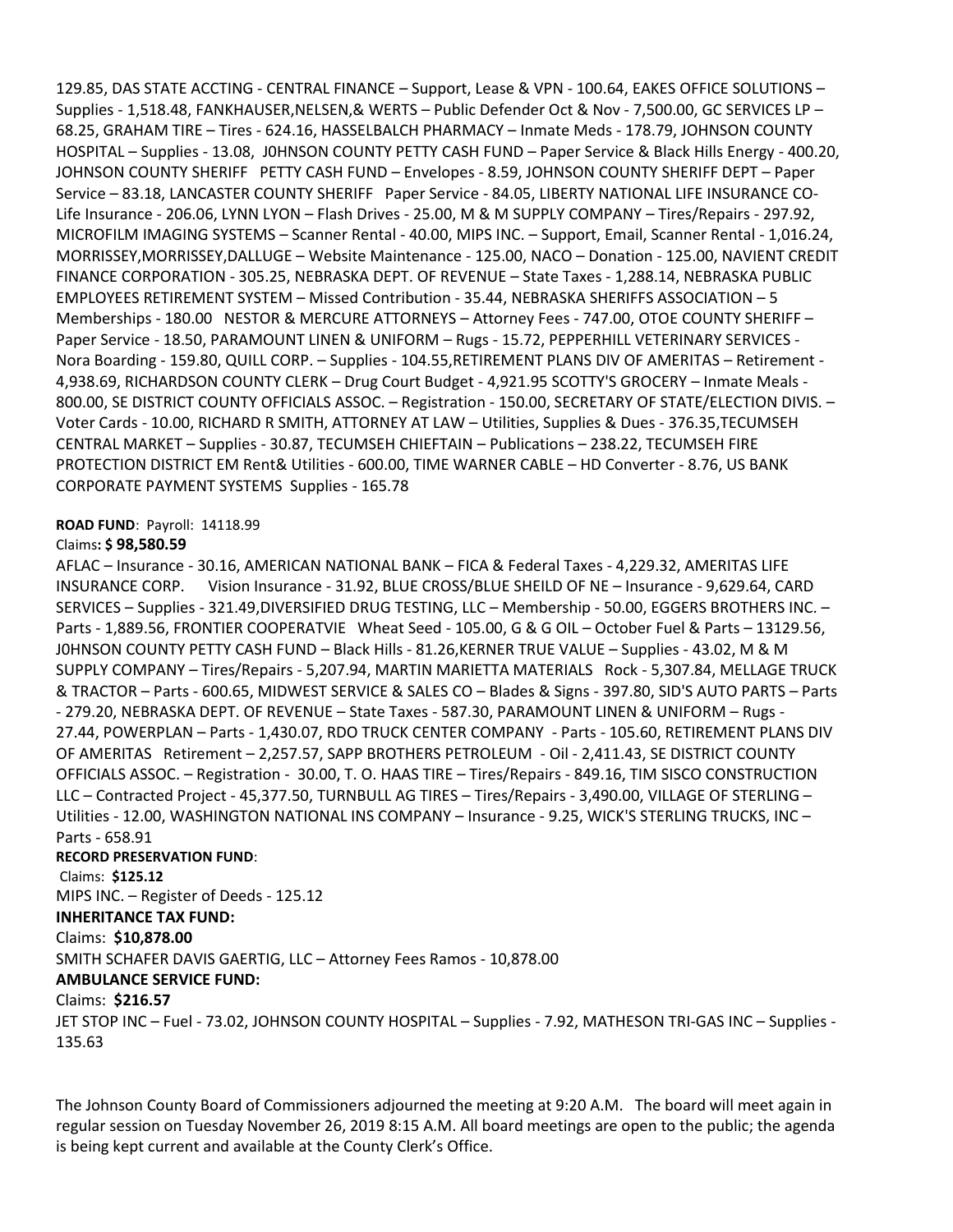129.85, DAS STATE ACCTING - CENTRAL FINANCE – Support, Lease & VPN - 100.64, EAKES OFFICE SOLUTIONS – Supplies - 1,518.48, FANKHAUSER,NELSEN,& WERTS – Public Defender Oct & Nov - 7,500.00, GC SERVICES LP – 68.25, GRAHAM TIRE – Tires - 624.16, HASSELBALCH PHARMACY – Inmate Meds - 178.79, JOHNSON COUNTY HOSPITAL – Supplies - 13.08, J0HNSON COUNTY PETTY CASH FUND – Paper Service & Black Hills Energy - 400.20, JOHNSON COUNTY SHERIFF PETTY CASH FUND – Envelopes - 8.59, JOHNSON COUNTY SHERIFF DEPT – Paper Service – 83.18, LANCASTER COUNTY SHERIFF Paper Service - 84.05, LIBERTY NATIONAL LIFE INSURANCE CO-Life Insurance - 206.06, LYNN LYON – Flash Drives - 25.00, M & M SUPPLY COMPANY – Tires/Repairs - 297.92, MICROFILM IMAGING SYSTEMS – Scanner Rental - 40.00, MIPS INC. – Support, Email, Scanner Rental - 1,016.24, MORRISSEY,MORRISSEY,DALLUGE – Website Maintenance - 125.00, NACO – Donation - 125.00, NAVIENT CREDIT FINANCE CORPORATION - 305.25, NEBRASKA DEPT. OF REVENUE – State Taxes - 1,288.14, NEBRASKA PUBLIC EMPLOYEES RETIREMENT SYSTEM – Missed Contribution - 35.44, NEBRASKA SHERIFFS ASSOCIATION – 5 Memberships - 180.00 NESTOR & MERCURE ATTORNEYS – Attorney Fees - 747.00, OTOE COUNTY SHERIFF – Paper Service - 18.50, PARAMOUNT LINEN & UNIFORM – Rugs - 15.72, PEPPERHILL VETERINARY SERVICES - Nora Boarding - 159.80, QUILL CORP. – Supplies - 104.55,RETIREMENT PLANS DIV OF AMERITAS – Retirement - 4,938.69, RICHARDSON COUNTY CLERK – Drug Court Budget - 4,921.95 SCOTTY'S GROCERY – Inmate Meals - 800.00, SE DISTRICT COUNTY OFFICIALS ASSOC. – Registration - 150.00, SECRETARY OF STATE/ELECTION DIVIS. – Voter Cards - 10.00, RICHARD R SMITH, ATTORNEY AT LAW – Utilities, Supplies & Dues - 376.35,TECUMSEH CENTRAL MARKET – Supplies - 30.87, TECUMSEH CHIEFTAIN – Publications – 238.22, TECUMSEH FIRE PROTECTION DISTRICT EM Rent& Utilities - 600.00, TIME WARNER CABLE – HD Converter - 8.76, US BANK CORPORATE PAYMENT SYSTEMS Supplies - 165.78

#### **ROAD FUND**: Payroll: 14118.99

#### Claims**: \$ 98,580.59**

AFLAC – Insurance - 30.16, AMERICAN NATIONAL BANK – FICA & Federal Taxes - 4,229.32, AMERITAS LIFE INSURANCE CORP. Vision Insurance - 31.92, BLUE CROSS/BLUE SHEILD OF NE – Insurance - 9,629.64, CARD SERVICES – Supplies - 321.49,DIVERSIFIED DRUG TESTING, LLC – Membership - 50.00, EGGERS BROTHERS INC. – Parts - 1,889.56, FRONTIER COOPERATVIE Wheat Seed - 105.00, G & G OIL – October Fuel & Parts – 13129.56, J0HNSON COUNTY PETTY CASH FUND – Black Hills - 81.26,KERNER TRUE VALUE – Supplies - 43.02, M & M SUPPLY COMPANY – Tires/Repairs - 5,207.94, MARTIN MARIETTA MATERIALS Rock - 5,307.84, MELLAGE TRUCK & TRACTOR – Parts - 600.65, MIDWEST SERVICE & SALES CO – Blades & Signs - 397.80, SID'S AUTO PARTS – Parts - 279.20, NEBRASKA DEPT. OF REVENUE – State Taxes - 587.30, PARAMOUNT LINEN & UNIFORM – Rugs - 27.44, POWERPLAN – Parts - 1,430.07, RDO TRUCK CENTER COMPANY - Parts - 105.60, RETIREMENT PLANS DIV OF AMERITAS Retirement – 2,257.57, SAPP BROTHERS PETROLEUM - Oil - 2,411.43, SE DISTRICT COUNTY OFFICIALS ASSOC. – Registration - 30.00, T. O. HAAS TIRE – Tires/Repairs - 849.16, TIM SISCO CONSTRUCTION LLC – Contracted Project - 45,377.50, TURNBULL AG TIRES – Tires/Repairs - 3,490.00, VILLAGE OF STERLING – Utilities - 12.00, WASHINGTON NATIONAL INS COMPANY – Insurance - 9.25, WICK'S STERLING TRUCKS, INC – Parts - 658.91

#### **RECORD PRESERVATION FUND**:

Claims: **\$125.12**

MIPS INC. – Register of Deeds - 125.12

## **INHERITANCE TAX FUND:**

## Claims: **\$10,878.00**

SMITH SCHAFER DAVIS GAERTIG, LLC – Attorney Fees Ramos - 10,878.00

## **AMBULANCE SERVICE FUND:**

## Claims: **\$216.57**

JET STOP INC – Fuel - 73.02, JOHNSON COUNTY HOSPITAL – Supplies - 7.92, MATHESON TRI-GAS INC – Supplies - 135.63

The Johnson County Board of Commissioners adjourned the meeting at 9:20 A.M. The board will meet again in regular session on Tuesday November 26, 2019 8:15 A.M. All board meetings are open to the public; the agenda is being kept current and available at the County Clerk's Office.